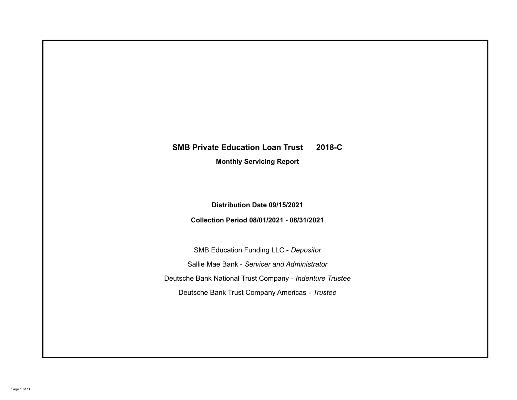# **SMB Private Education Loan Trust 2018-C**

**Monthly Servicing Report**

**Distribution Date 09/15/2021**

**Collection Period 08/01/2021 - 08/31/2021**

SMB Education Funding LLC - *Depositor* Sallie Mae Bank - *Servicer and Administrator* Deutsche Bank National Trust Company - *Indenture Trustee* Deutsche Bank Trust Company Americas - *Trustee*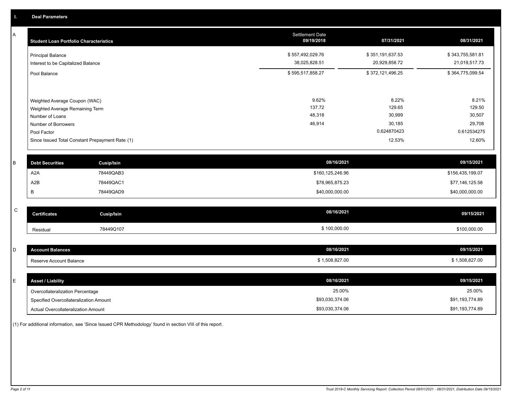A

| Α           | <b>Student Loan Portfolio Characteristics</b>      |                                                 | <b>Settlement Date</b><br>09/19/2018 | 07/31/2021       | 08/31/2021       |
|-------------|----------------------------------------------------|-------------------------------------------------|--------------------------------------|------------------|------------------|
|             | <b>Principal Balance</b>                           |                                                 | \$557,492,029.76                     | \$351,191,637.53 | \$343,755,581.81 |
|             | Interest to be Capitalized Balance                 |                                                 | 38,025,828.51                        | 20,929,858.72    | 21,019,517.73    |
|             | Pool Balance                                       |                                                 | \$595,517,858.27                     | \$372,121,496.25 | \$364,775,099.54 |
|             |                                                    |                                                 |                                      |                  |                  |
|             | Weighted Average Coupon (WAC)                      |                                                 | 9.62%<br>137.72                      | 8.22%<br>129.65  | 8.21%<br>129.50  |
|             | Weighted Average Remaining Term<br>Number of Loans |                                                 | 48,318                               | 30,999           | 30,507           |
|             | Number of Borrowers                                |                                                 | 46,914                               | 30,185           | 29,708           |
|             | Pool Factor                                        |                                                 |                                      | 0.624870423      | 0.612534275      |
|             |                                                    | Since Issued Total Constant Prepayment Rate (1) |                                      | 12.53%           | 12.60%           |
| B           | <b>Debt Securities</b>                             | <b>Cusip/Isin</b>                               | 08/16/2021                           |                  | 09/15/2021       |
|             | A <sub>2</sub> A                                   | 78449QAB3                                       | \$160,125,246.96                     |                  | \$156,435,199.07 |
|             | A2B                                                | 78449QAC1                                       | \$78,965,875.23                      |                  | \$77,146,125.58  |
|             | B                                                  | 78449QAD9                                       | \$40,000,000.00                      |                  | \$40,000,000.00  |
|             |                                                    |                                                 |                                      |                  |                  |
| $\mathsf C$ | <b>Certificates</b>                                | <b>Cusip/Isin</b>                               | 08/16/2021                           |                  | 09/15/2021       |
|             | Residual                                           | 78449Q107                                       | \$100,000.00                         |                  | \$100,000.00     |
|             |                                                    |                                                 |                                      |                  |                  |
| D           | <b>Account Balances</b>                            |                                                 | 08/16/2021                           |                  | 09/15/2021       |
|             | Reserve Account Balance                            |                                                 | \$1,508,827.00                       |                  | \$1,508,827.00   |
|             |                                                    |                                                 |                                      |                  |                  |
| E.          | Annat / Linhility                                  |                                                 | 08/16/2021                           |                  | 09/15/2021       |

| <b>Asset / Liability</b>               | 08/16/2021      | 09/15/2021      |
|----------------------------------------|-----------------|-----------------|
| Overcollateralization Percentage       | 25.00%          | 25.00%          |
| Specified Overcollateralization Amount | \$93,030,374.06 | \$91,193,774.89 |
| Actual Overcollateralization Amount    | \$93,030,374.06 | \$91,193,774.89 |

(1) For additional information, see 'Since Issued CPR Methodology' found in section VIII of this report .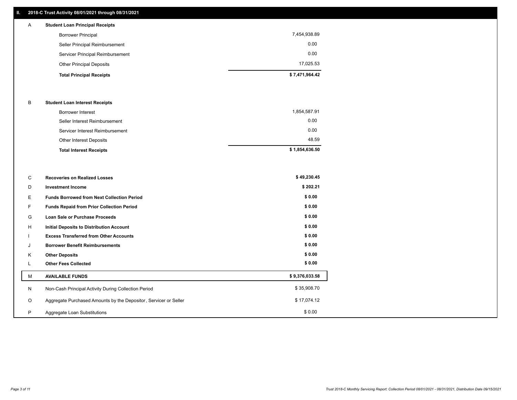## **II. 2018-C Trust Activity 08/01/2021 through 08/31/2021**

| A | <b>Student Loan Principal Receipts</b> |                |
|---|----------------------------------------|----------------|
|   | <b>Borrower Principal</b>              | 7,454,938.89   |
|   | Seller Principal Reimbursement         | 0.00           |
|   | Servicer Principal Reimbursement       | 0.00           |
|   | <b>Other Principal Deposits</b>        | 17.025.53      |
|   | <b>Total Principal Receipts</b>        | \$7,471,964.42 |

## B **Student Loan Interest Receipts**

| <b>Total Interest Receipts</b>  | \$1,854,636.50 |
|---------------------------------|----------------|
| <b>Other Interest Deposits</b>  | 48.59          |
| Servicer Interest Reimbursement | 0.00           |
| Seller Interest Reimbursement   | 0.00           |
| <b>Borrower Interest</b>        | 1,854,587.91   |

| C       | <b>Recoveries on Realized Losses</b>                             | \$49,230.45    |
|---------|------------------------------------------------------------------|----------------|
| D       | <b>Investment Income</b>                                         | \$202.21       |
| Е       | <b>Funds Borrowed from Next Collection Period</b>                | \$0.00         |
| F.      | Funds Repaid from Prior Collection Period                        | \$0.00         |
| G       | Loan Sale or Purchase Proceeds                                   | \$0.00         |
| H       | <b>Initial Deposits to Distribution Account</b>                  | \$0.00         |
|         | <b>Excess Transferred from Other Accounts</b>                    | \$0.00         |
| J       | <b>Borrower Benefit Reimbursements</b>                           | \$0.00         |
| Κ       | <b>Other Deposits</b>                                            | \$0.00         |
| ц       | <b>Other Fees Collected</b>                                      | \$0.00         |
| м       | <b>AVAILABLE FUNDS</b>                                           | \$9,376,033.58 |
| N       | Non-Cash Principal Activity During Collection Period             | \$35,908.70    |
| $\circ$ | Aggregate Purchased Amounts by the Depositor, Servicer or Seller | \$17,074.12    |
| P       | Aggregate Loan Substitutions                                     | \$0.00         |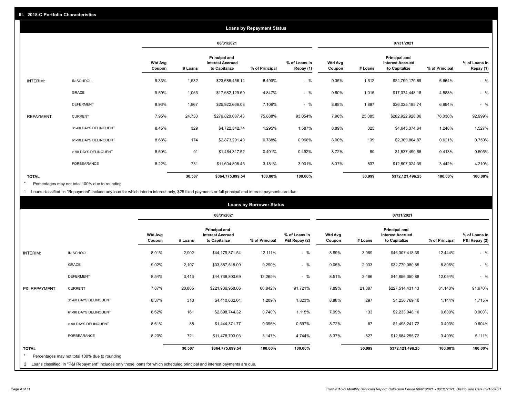|                   | <b>Loans by Repayment Status</b> |                          |         |                                                           |                |                            |                          |         |                                                           |                |                            |
|-------------------|----------------------------------|--------------------------|---------|-----------------------------------------------------------|----------------|----------------------------|--------------------------|---------|-----------------------------------------------------------|----------------|----------------------------|
|                   |                                  |                          |         | 08/31/2021                                                |                |                            |                          |         | 07/31/2021                                                |                |                            |
|                   |                                  | <b>Wtd Avg</b><br>Coupon | # Loans | Principal and<br><b>Interest Accrued</b><br>to Capitalize | % of Principal | % of Loans in<br>Repay (1) | <b>Wtd Avg</b><br>Coupon | # Loans | Principal and<br><b>Interest Accrued</b><br>to Capitalize | % of Principal | % of Loans in<br>Repay (1) |
| INTERIM:          | IN SCHOOL                        | 9.33%                    | 1,532   | \$23,685,456.14                                           | 6.493%         | $-$ %                      | 9.35%                    | 1,612   | \$24,799,170.69                                           | 6.664%         | $-$ %                      |
|                   | GRACE                            | 9.59%                    | 1,053   | \$17,682,129.69                                           | 4.847%         | $-$ %                      | 9.60%                    | 1,015   | \$17,074,448.18                                           | 4.588%         | $-$ %                      |
|                   | <b>DEFERMENT</b>                 | 8.93%                    | 1,867   | \$25,922,666.08                                           | 7.106%         | $-$ %                      | 8.88%                    | 1,897   | \$26,025,185.74                                           | 6.994%         | $-$ %                      |
| <b>REPAYMENT:</b> | <b>CURRENT</b>                   | 7.95%                    | 24,730  | \$276,820,087.43                                          | 75.888%        | 93.054%                    | 7.96%                    | 25,085  | \$282,922,928.06                                          | 76.030%        | 92.999%                    |
|                   | 31-60 DAYS DELINQUENT            | 8.45%                    | 329     | \$4,722,342.74                                            | 1.295%         | 1.587%                     | 8.89%                    | 325     | \$4,645,374.64                                            | 1.248%         | 1.527%                     |
|                   | 61-90 DAYS DELINQUENT            | 8.68%                    | 174     | \$2,873,291.49                                            | 0.788%         | 0.966%                     | 8.00%                    | 139     | \$2,309,864.87                                            | 0.621%         | 0.759%                     |
|                   | > 90 DAYS DELINQUENT             | 8.60%                    | 91      | \$1,464,317.52                                            | 0.401%         | 0.492%                     | 8.72%                    | 89      | \$1,537,499.68                                            | 0.413%         | 0.505%                     |
|                   | <b>FORBEARANCE</b>               | 8.22%                    | 731     | \$11,604,808.45                                           | 3.181%         | 3.901%                     | 8.37%                    | 837     | \$12,807,024.39                                           | 3.442%         | 4.210%                     |
| <b>TOTAL</b>      |                                  |                          | 30,507  | \$364,775,099.54                                          | 100.00%        | 100.00%                    |                          | 30,999  | \$372,121,496.25                                          | 100.00%        | 100.00%                    |

Percentages may not total 100% due to rounding \*

1 Loans classified in "Repayment" include any loan for which interim interest only, \$25 fixed payments or full principal and interest payments are due.

|                                                                                                                                                                                                           |                          |         | 08/31/2021                                                       |                |                                |                          |         |                                                                  |                |                                |
|-----------------------------------------------------------------------------------------------------------------------------------------------------------------------------------------------------------|--------------------------|---------|------------------------------------------------------------------|----------------|--------------------------------|--------------------------|---------|------------------------------------------------------------------|----------------|--------------------------------|
|                                                                                                                                                                                                           |                          |         |                                                                  |                |                                |                          |         | 07/31/2021                                                       |                |                                |
|                                                                                                                                                                                                           | <b>Wtd Avg</b><br>Coupon | # Loans | <b>Principal and</b><br><b>Interest Accrued</b><br>to Capitalize | % of Principal | % of Loans in<br>P&I Repay (2) | <b>Wtd Avg</b><br>Coupon | # Loans | <b>Principal and</b><br><b>Interest Accrued</b><br>to Capitalize | % of Principal | % of Loans in<br>P&I Repay (2) |
| IN SCHOOL<br><b>INTERIM:</b>                                                                                                                                                                              | 8.91%                    | 2,902   | \$44,179,371.54                                                  | 12.111%        | $-$ %                          | 8.89%                    | 3,069   | \$46,307,418.39                                                  | 12.444%        | $-$ %                          |
| <b>GRACE</b>                                                                                                                                                                                              | 9.02%                    | 2,107   | \$33,887,518.09                                                  | 9.290%         | $-$ %                          | 9.05%                    | 2,033   | \$32,770,080.85                                                  | 8.806%         | $-$ %                          |
| <b>DEFERMENT</b>                                                                                                                                                                                          | 8.54%                    | 3,413   | \$44,738,800.69                                                  | 12.265%        | $-$ %                          | 8.51%                    | 3,466   | \$44,856,350.88                                                  | 12.054%        | $-$ %                          |
| <b>CURRENT</b><br>P&I REPAYMENT:                                                                                                                                                                          | 7.87%                    | 20,805  | \$221,936,958.06                                                 | 60.842%        | 91.721%                        | 7.89%                    | 21,087  | \$227,514,431.13                                                 | 61.140%        | 91.670%                        |
| 31-60 DAYS DELINQUENT                                                                                                                                                                                     | 8.37%                    | 310     | \$4,410,632.04                                                   | 1.209%         | 1.823%                         | 8.88%                    | 297     | \$4,256,769.46                                                   | 1.144%         | 1.715%                         |
| 61-90 DAYS DELINQUENT                                                                                                                                                                                     | 8.62%                    | 161     | \$2,698,744.32                                                   | 0.740%         | 1.115%                         | 7.99%                    | 133     | \$2,233,948.10                                                   | 0.600%         | 0.900%                         |
| > 90 DAYS DELINQUENT                                                                                                                                                                                      | 8.61%                    | 88      | \$1,444,371.77                                                   | 0.396%         | 0.597%                         | 8.72%                    | 87      | \$1,498,241.72                                                   | 0.403%         | 0.604%                         |
| <b>FORBEARANCE</b>                                                                                                                                                                                        | 8.20%                    | 721     | \$11,478,703.03                                                  | 3.147%         | 4.744%                         | 8.37%                    | 827     | \$12,684,255.72                                                  | 3.409%         | 5.111%                         |
| <b>TOTAL</b><br>$\star$<br>Percentages may not total 100% due to rounding<br>2 Loans classified in "P&I Repayment" includes only those loans for which scheduled principal and interest payments are due. |                          | 30,507  | \$364,775,099.54                                                 | 100.00%        | 100.00%                        |                          | 30,999  | \$372,121,496.25                                                 | 100.00%        | 100.00%                        |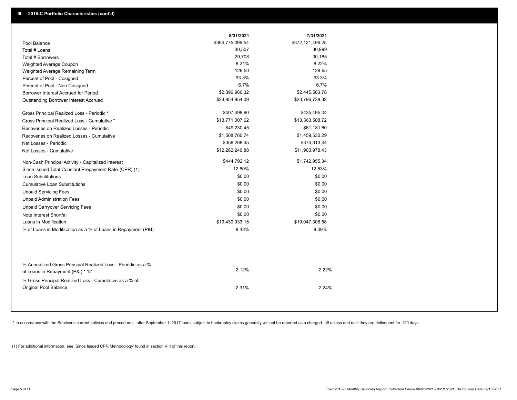|                                                                                                  | 8/31/2021        | 7/31/2021        |
|--------------------------------------------------------------------------------------------------|------------------|------------------|
| Pool Balance                                                                                     | \$364,775,099.54 | \$372,121,496.25 |
| Total # Loans                                                                                    | 30,507           | 30,999           |
| Total # Borrowers                                                                                | 29,708           | 30,185           |
| Weighted Average Coupon                                                                          | 8.21%            | 8.22%            |
| Weighted Average Remaining Term                                                                  | 129.50           | 129.65           |
| Percent of Pool - Cosigned                                                                       | 93.3%            | 93.3%            |
| Percent of Pool - Non Cosigned                                                                   | 6.7%             | 6.7%             |
| Borrower Interest Accrued for Period                                                             | \$2,396,966.32   | \$2,445,563.78   |
| Outstanding Borrower Interest Accrued                                                            | \$23,854,954.09  | \$23,796,738.32  |
| Gross Principal Realized Loss - Periodic *                                                       | \$407,498.90     | \$435,495.04     |
| Gross Principal Realized Loss - Cumulative *                                                     | \$13,771,007.62  | \$13,363,508.72  |
| Recoveries on Realized Losses - Periodic                                                         | \$49,230.45      | \$61,181.60      |
| Recoveries on Realized Losses - Cumulative                                                       | \$1,508,760.74   | \$1,459,530.29   |
| Net Losses - Periodic                                                                            | \$358,268.45     | \$374,313.44     |
| Net Losses - Cumulative                                                                          | \$12,262,246.88  | \$11,903,978.43  |
| Non-Cash Principal Activity - Capitalized Interest                                               | \$444,792.12     | \$1,742,955.34   |
| Since Issued Total Constant Prepayment Rate (CPR) (1)                                            | 12.60%           | 12.53%           |
| <b>Loan Substitutions</b>                                                                        | \$0.00           | \$0.00           |
| <b>Cumulative Loan Substitutions</b>                                                             | \$0.00           | \$0.00           |
| <b>Unpaid Servicing Fees</b>                                                                     | \$0.00           | \$0.00           |
| <b>Unpaid Administration Fees</b>                                                                | \$0.00           | \$0.00           |
| <b>Unpaid Carryover Servicing Fees</b>                                                           | \$0.00           | \$0.00           |
| Note Interest Shortfall                                                                          | \$0.00           | \$0.00           |
| Loans in Modification                                                                            | \$19,430,933.15  | \$19,047,308.58  |
| % of Loans in Modification as a % of Loans in Repayment (P&I)                                    | 8.43%            | 8.09%            |
|                                                                                                  |                  |                  |
| % Annualized Gross Principal Realized Loss - Periodic as a %<br>of Loans in Repayment (P&I) * 12 | 2.12%            | 2.22%            |
|                                                                                                  |                  |                  |
| % Gross Principal Realized Loss - Cumulative as a % of<br>Original Pool Balance                  | 2.31%            | 2.24%            |
|                                                                                                  |                  |                  |

\* In accordance with the Servicer's current policies and procedures, after September 1, 2017 loans subject to bankruptcy claims generally will not be reported as a charged- off unless and until they are delinquent for 120

(1) For additional information, see 'Since Issued CPR Methodology' found in section VIII of this report .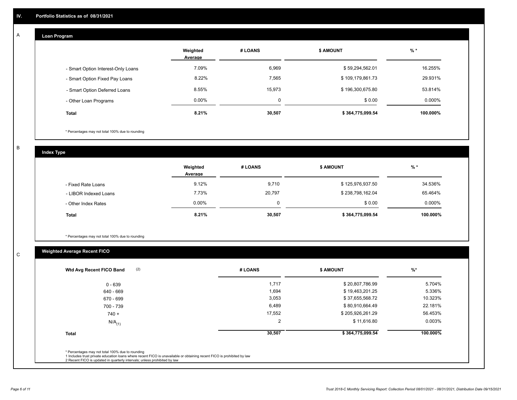## **Loan Program**

A

|                                    | Weighted<br>Average | # LOANS | <b>\$ AMOUNT</b> | $%$ *    |
|------------------------------------|---------------------|---------|------------------|----------|
| - Smart Option Interest-Only Loans | 7.09%               | 6,969   | \$59,294,562.01  | 16.255%  |
| - Smart Option Fixed Pay Loans     | 8.22%               | 7,565   | \$109,179,861.73 | 29.931%  |
| - Smart Option Deferred Loans      | 8.55%               | 15,973  | \$196,300,675.80 | 53.814%  |
| - Other Loan Programs              | $0.00\%$            |         | \$0.00           | 0.000%   |
| Total                              | 8.21%               | 30,507  | \$364,775,099.54 | 100.000% |

\* Percentages may not total 100% due to rounding

B

C

**Index Type**

|                       | Weighted<br>Average | # LOANS | <b>\$ AMOUNT</b> | % *       |
|-----------------------|---------------------|---------|------------------|-----------|
| - Fixed Rate Loans    | 9.12%               | 9,710   | \$125,976,937.50 | 34.536%   |
| - LIBOR Indexed Loans | 7.73%               | 20,797  | \$238,798,162.04 | 65.464%   |
| - Other Index Rates   | $0.00\%$            |         | \$0.00           | $0.000\%$ |
| <b>Total</b>          | 8.21%               | 30,507  | \$364,775,099.54 | 100.000%  |

\* Percentages may not total 100% due to rounding

# **Weighted Average Recent FICO**

| $0 - 639$<br>640 - 669 | 1,717  | \$20,807,786.99  | 5.704%   |
|------------------------|--------|------------------|----------|
|                        |        |                  |          |
|                        | 1,694  | \$19,463,201.25  | 5.336%   |
| 670 - 699              | 3,053  | \$37,655,568.72  | 10.323%  |
| 700 - 739              | 6,489  | \$80,910,664.49  | 22.181%  |
| $740 +$                | 17,552 | \$205,926,261.29 | 56.453%  |
| $N/A$ <sub>(1)</sub>   | 2      | \$11,616.80      | 0.003%   |
| <b>Total</b>           | 30,507 | \$364,775,099.54 | 100.000% |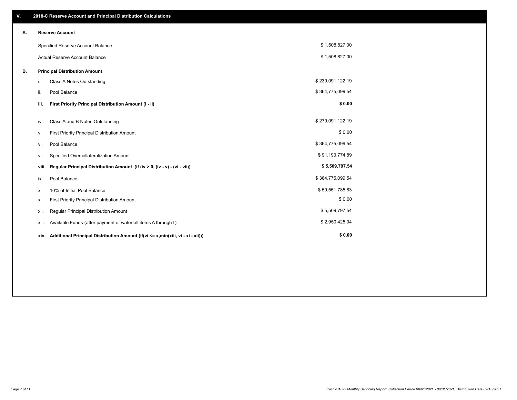| V. |       | 2018-C Reserve Account and Principal Distribution Calculations                  |                  |  |
|----|-------|---------------------------------------------------------------------------------|------------------|--|
| А. |       | <b>Reserve Account</b>                                                          |                  |  |
|    |       | Specified Reserve Account Balance                                               | \$1,508,827.00   |  |
|    |       | <b>Actual Reserve Account Balance</b>                                           | \$1,508,827.00   |  |
| В. |       | <b>Principal Distribution Amount</b>                                            |                  |  |
|    | i.    | Class A Notes Outstanding                                                       | \$239,091,122.19 |  |
|    | ii.   | Pool Balance                                                                    | \$364,775,099.54 |  |
|    | iii.  | First Priority Principal Distribution Amount (i - ii)                           | \$0.00           |  |
|    | iv.   | Class A and B Notes Outstanding                                                 | \$279,091,122.19 |  |
|    | ν.    | First Priority Principal Distribution Amount                                    | \$0.00           |  |
|    | vi.   | Pool Balance                                                                    | \$364,775,099.54 |  |
|    | vii.  | Specified Overcollateralization Amount                                          | \$91,193,774.89  |  |
|    | viii. | Regular Principal Distribution Amount (if (iv > 0, (iv - v) - (vi - vii))       | \$5,509,797.54   |  |
|    | ix.   | Pool Balance                                                                    | \$364,775,099.54 |  |
|    | х.    | 10% of Initial Pool Balance                                                     | \$59,551,785.83  |  |
|    | xi.   | First Priority Principal Distribution Amount                                    | \$0.00           |  |
|    | xii.  | Regular Principal Distribution Amount                                           | \$5,509,797.54   |  |
|    | xiii. | Available Funds (after payment of waterfall items A through I)                  | \$2,950,425.04   |  |
|    | xiv.  | Additional Principal Distribution Amount (if(vi <= x,min(xiii, vi - xi - xii))) | \$0.00           |  |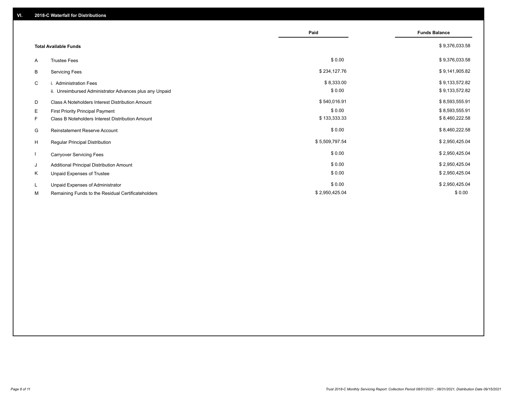|                              |                                                         | Paid           | <b>Funds Balance</b> |
|------------------------------|---------------------------------------------------------|----------------|----------------------|
|                              |                                                         |                |                      |
| <b>Total Available Funds</b> |                                                         |                | \$9,376,033.58       |
| A                            | <b>Trustee Fees</b>                                     | \$0.00         | \$9,376,033.58       |
| В                            | <b>Servicing Fees</b>                                   | \$234,127.76   | \$9,141,905.82       |
| C                            | i. Administration Fees                                  | \$8,333.00     | \$9,133,572.82       |
|                              | ii. Unreimbursed Administrator Advances plus any Unpaid | \$0.00         | \$9,133,572.82       |
| D                            | Class A Noteholders Interest Distribution Amount        | \$540,016.91   | \$8,593,555.91       |
| E                            | <b>First Priority Principal Payment</b>                 | \$0.00         | \$8,593,555.91       |
| F.                           | Class B Noteholders Interest Distribution Amount        | \$133,333.33   | \$8,460,222.58       |
| G                            | <b>Reinstatement Reserve Account</b>                    | \$0.00         | \$8,460,222.58       |
| H                            | Regular Principal Distribution                          | \$5,509,797.54 | \$2,950,425.04       |
|                              | <b>Carryover Servicing Fees</b>                         | \$0.00         | \$2,950,425.04       |
| J                            | Additional Principal Distribution Amount                | \$0.00         | \$2,950,425.04       |
| Κ                            | Unpaid Expenses of Trustee                              | \$0.00         | \$2,950,425.04       |
| L                            | Unpaid Expenses of Administrator                        | \$0.00         | \$2,950,425.04       |
| М                            | Remaining Funds to the Residual Certificateholders      | \$2,950,425.04 | \$0.00               |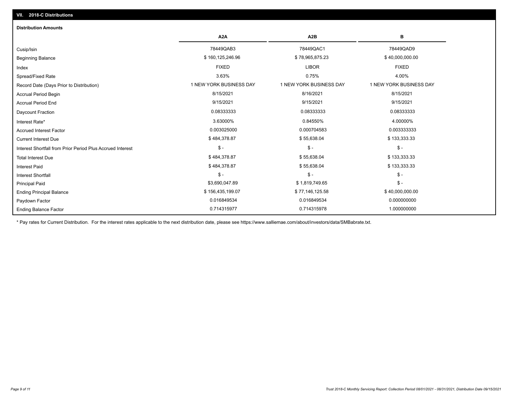| <b>Distribution Amounts</b>                                |                         |                         |                         |
|------------------------------------------------------------|-------------------------|-------------------------|-------------------------|
|                                                            | A <sub>2</sub> A        | A <sub>2</sub> B        | в                       |
| Cusip/Isin                                                 | 78449QAB3               | 78449QAC1               | 78449QAD9               |
| <b>Beginning Balance</b>                                   | \$160,125,246.96        | \$78,965,875.23         | \$40,000,000.00         |
| Index                                                      | <b>FIXED</b>            | <b>LIBOR</b>            | <b>FIXED</b>            |
| Spread/Fixed Rate                                          | 3.63%                   | 0.75%                   | 4.00%                   |
| Record Date (Days Prior to Distribution)                   | 1 NEW YORK BUSINESS DAY | 1 NEW YORK BUSINESS DAY | 1 NEW YORK BUSINESS DAY |
| Accrual Period Begin                                       | 8/15/2021               | 8/16/2021               | 8/15/2021               |
| <b>Accrual Period End</b>                                  | 9/15/2021               | 9/15/2021               | 9/15/2021               |
| Daycount Fraction                                          | 0.08333333              | 0.08333333              | 0.08333333              |
| Interest Rate*                                             | 3.63000%                | 0.84550%                | 4.00000%                |
| <b>Accrued Interest Factor</b>                             | 0.003025000             | 0.000704583             | 0.003333333             |
| <b>Current Interest Due</b>                                | \$484,378.87            | \$55,638.04             | \$133,333.33            |
| Interest Shortfall from Prior Period Plus Accrued Interest | $\mathsf{\$}$ -         | $\mathsf{\$}$ -         | $\mathsf{\$}$ -         |
| <b>Total Interest Due</b>                                  | \$484,378.87            | \$55,638.04             | \$133,333.33            |
| <b>Interest Paid</b>                                       | \$484,378.87            | \$55,638.04             | \$133,333.33            |
| <b>Interest Shortfall</b>                                  | $$ -$                   | $\mathsf{\$}$ -         | $$ -$                   |
| <b>Principal Paid</b>                                      | \$3,690,047.89          | \$1,819,749.65          | $\mathsf{\$}$ -         |
| <b>Ending Principal Balance</b>                            | \$156,435,199.07        | \$77,146,125.58         | \$40,000,000.00         |
| Paydown Factor                                             | 0.016849534             | 0.016849534             | 0.000000000             |
| <b>Ending Balance Factor</b>                               | 0.714315977             | 0.714315978             | 1.000000000             |

\* Pay rates for Current Distribution. For the interest rates applicable to the next distribution date, please see https://www.salliemae.com/about/investors/data/SMBabrate.txt.

**VII. 2018-C Distributions**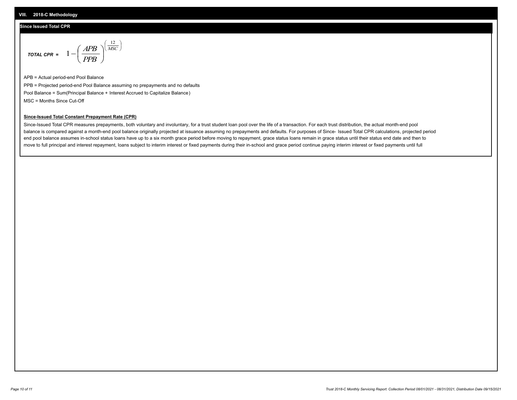#### **VIII. 2018-C Methodology**

## **Since Issued Total CPR**

$$
\text{total CPR} = 1 - \left(\frac{APB}{PPB}\right)^{\left(\frac{12}{MSC}\right)}
$$

APB = Actual period-end Pool Balance PPB = Projected period-end Pool Balance assuming no prepayments and no defaults Pool Balance = Sum(Principal Balance + Interest Accrued to Capitalize Balance) MSC = Months Since Cut-Off

## **Since-Issued Total Constant Prepayment Rate (CPR)**

Since-Issued Total CPR measures prepayments, both voluntary and involuntary, for a trust student loan pool over the life of a transaction. For each trust distribution, the actual month-end pool balance is compared against a month-end pool balance originally projected at issuance assuming no prepayments and defaults. For purposes of Since- Issued Total CPR calculations, projected period end pool balance assumes in-school status loans have up to a six month grace period before moving to repayment, grace status loans remain in grace status until their status end date and then to move to full principal and interest repayment, loans subject to interim interest or fixed payments during their in-school and grace period continue paying interim interest or fixed payments until full